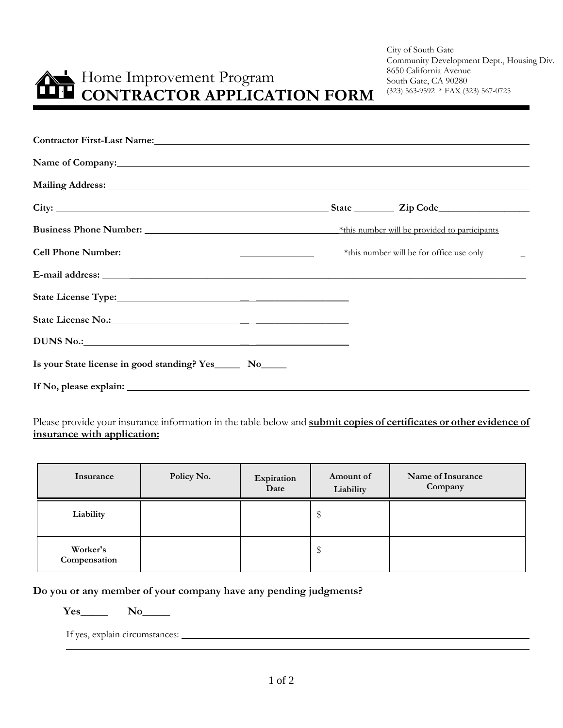# Home Improvement Program **CONTRACTOR APPLICATION FORM**

City of South Gate Community Development Dept., Housing Div. 8650 California Avenue South Gate, CA 90280 (323) 563-9592 \* FAX (323) 567-0725

| Contractor First-Last Name: Manuel And State Contractor First-Last Name: |  |  |  |
|--------------------------------------------------------------------------|--|--|--|
| Name of Company:                                                         |  |  |  |
|                                                                          |  |  |  |
|                                                                          |  |  |  |
|                                                                          |  |  |  |
|                                                                          |  |  |  |
|                                                                          |  |  |  |
|                                                                          |  |  |  |
|                                                                          |  |  |  |
| DUNS No.: No                                                             |  |  |  |
| Is your State license in good standing? Yes________ No______             |  |  |  |
|                                                                          |  |  |  |

Please provide your insurance information in the table below and **submit copies of certificates or other evidence of insurance with application:**

| Insurance                | Policy No. | Expiration<br>Date | Amount of<br>Liability | Name of Insurance<br>Company |
|--------------------------|------------|--------------------|------------------------|------------------------------|
| Liability                |            |                    | \$                     |                              |
| Worker's<br>Compensation |            |                    | D                      |                              |

**Do you or any member of your company have any pending judgments?** 

 **Yes**\_\_\_\_\_ **No**\_\_\_\_\_

 $\overline{a}$ 

If yes, explain circumstances: